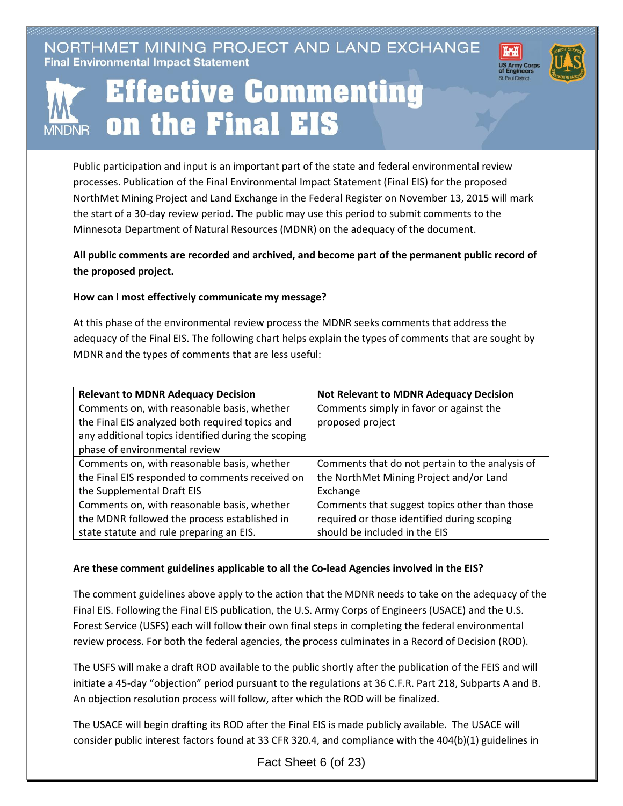NORTHMET MINING PROJECT AND LAND EXCHANGE **Final Environmental Impact Statement** 





# **Effective Commenting** on the Final EIS **MNDNR**

Public participation and input is an important part of the state and federal environmental review processes. Publication of the Final Environmental Impact Statement (Final EIS) for the proposed NorthMet Mining Project and Land Exchange in the Federal Register on November 13, 2015 will mark the start of a 30-day review period. The public may use this period to submit comments to the Minnesota Department of Natural Resources (MDNR) on the adequacy of the document.

**All public comments are recorded and archived, and become part of the permanent public record of the proposed project.**

## **How can I most effectively communicate my message?**

At this phase of the environmental review process the MDNR seeks comments that address the adequacy of the Final EIS. The following chart helps explain the types of comments that are sought by MDNR and the types of comments that are less useful:

| <b>Relevant to MDNR Adequacy Decision</b>           | <b>Not Relevant to MDNR Adequacy Decision</b>   |
|-----------------------------------------------------|-------------------------------------------------|
| Comments on, with reasonable basis, whether         | Comments simply in favor or against the         |
| the Final EIS analyzed both required topics and     | proposed project                                |
| any additional topics identified during the scoping |                                                 |
| phase of environmental review                       |                                                 |
| Comments on, with reasonable basis, whether         | Comments that do not pertain to the analysis of |
| the Final EIS responded to comments received on     | the NorthMet Mining Project and/or Land         |
| the Supplemental Draft EIS                          | Exchange                                        |
| Comments on, with reasonable basis, whether         | Comments that suggest topics other than those   |
| the MDNR followed the process established in        | required or those identified during scoping     |
| state statute and rule preparing an EIS.            | should be included in the EIS                   |

### **Are these comment guidelines applicable to all the Co-lead Agencies involved in the EIS?**

The comment guidelines above apply to the action that the MDNR needs to take on the adequacy of the Final EIS. Following the Final EIS publication, the U.S. Army Corps of Engineers (USACE) and the U.S. Forest Service (USFS) each will follow their own final steps in completing the federal environmental review process. For both the federal agencies, the process culminates in a Record of Decision (ROD).

The USFS will make a draft ROD available to the public shortly after the publication of the FEIS and will initiate a 45-day "objection" period pursuant to the regulations at 36 C.F.R. Part 218, Subparts A and B. An objection resolution process will follow, after which the ROD will be finalized.

The USACE will begin drafting its ROD after the Final EIS is made publicly available. The USACE will consider public interest factors found at 33 CFR 320.4, and compliance with the 404(b)(1) guidelines in